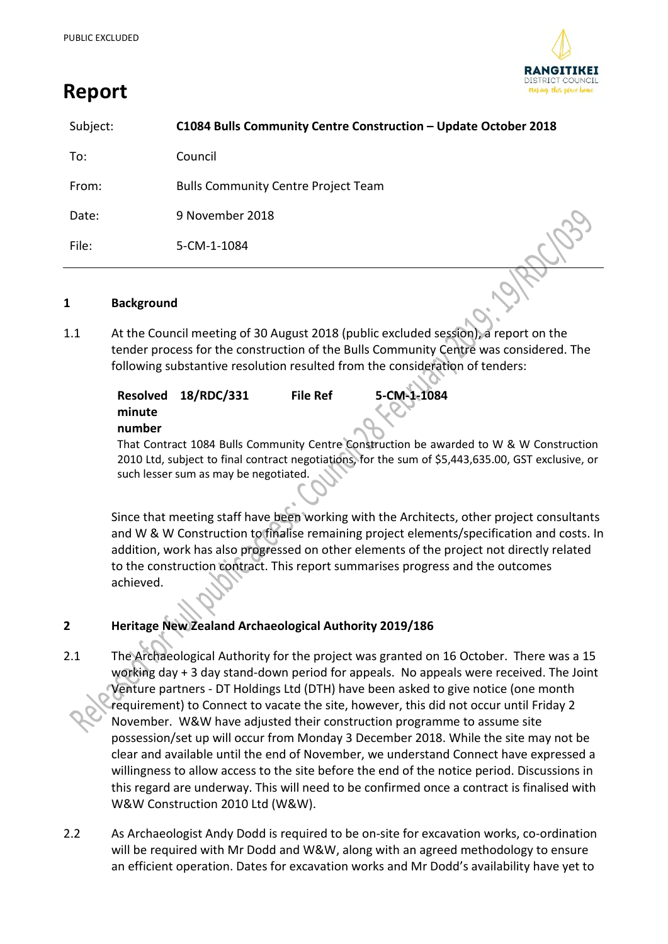**Report**



| Subject: | C1084 Bulls Community Centre Construction - Update October 2018 |  |
|----------|-----------------------------------------------------------------|--|
| To:      | Council                                                         |  |
| From:    | <b>Bulls Community Centre Project Team</b>                      |  |
| Date:    | 9 November 2018                                                 |  |
| File:    | 5-CM-1-1084                                                     |  |

#### **1 Background**

1.1 At the Council meeting of 30 August 2018 (public excluded session), a report on the tender process for the construction of the Bulls Community Centre was considered. The following substantive resolution resulted from the consideration of tenders:

|        | Resolved 18/RDC/331 | <b>File Ref</b> | 5-CM-1-1084                                                                        |  |
|--------|---------------------|-----------------|------------------------------------------------------------------------------------|--|
| minute |                     |                 |                                                                                    |  |
| number |                     |                 |                                                                                    |  |
|        |                     |                 | That Contract 1084 Bulls Community Centre Construction be awarded to W & W Constru |  |

That Contract 1084 Bulls Community Centre Construction be awarded to W & W Construction 2010 Ltd, subject to final contract negotiations, for the sum of \$5,443,635.00, GST exclusive, or such lesser sum as may be negotiated.

Since that meeting staff have been working with the Architects, other project consultants and W & W Construction to finalise remaining project elements/specification and costs. In addition, work has also progressed on other elements of the project not directly related to the construction contract. This report summarises progress and the outcomes achieved.

## **2 Heritage New Zealand Archaeological Authority 2019/186**

- 2.1 The Archaeological Authority for the project was granted on 16 October. There was a 15 working day + 3 day stand-down period for appeals. No appeals were received. The Joint Venture partners - DT Holdings Ltd (DTH) have been asked to give notice (one month requirement) to Connect to vacate the site, however, this did not occur until Friday 2 November. W&W have adjusted their construction programme to assume site possession/set up will occur from Monday 3 December 2018. While the site may not be clear and available until the end of November, we understand Connect have expressed a willingness to allow access to the site before the end of the notice period. Discussions in this regard are underway. This will need to be confirmed once a contract is finalised with W&W Construction 2010 Ltd (W&W).
- 2.2 As Archaeologist Andy Dodd is required to be on-site for excavation works, co-ordination will be required with Mr Dodd and W&W, along with an agreed methodology to ensure an efficient operation. Dates for excavation works and Mr Dodd's availability have yet to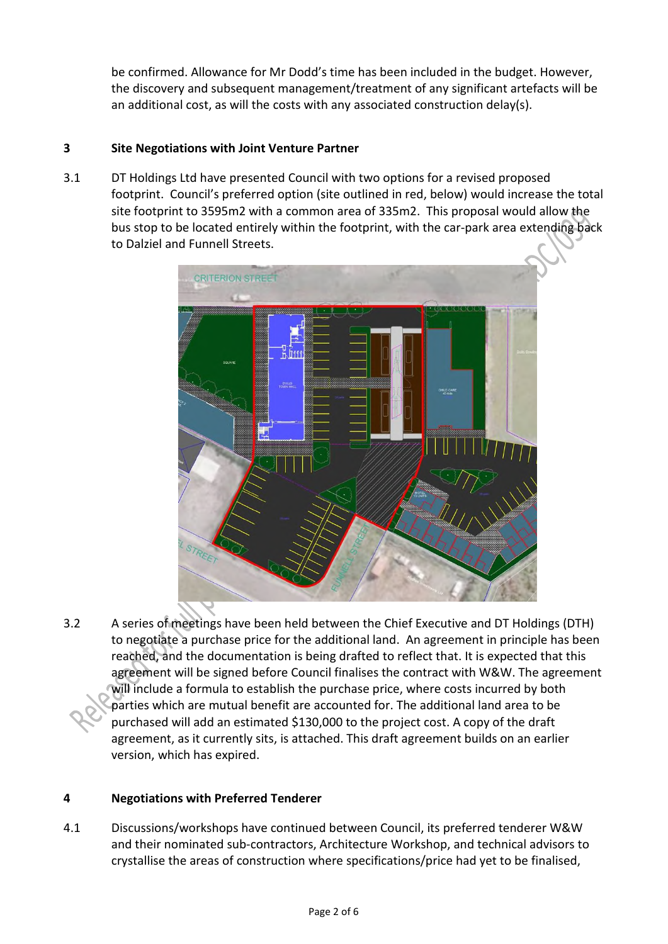be confirmed. Allowance for Mr Dodd's time has been included in the budget. However, the discovery and subsequent management/treatment of any significant artefacts will be an additional cost, as will the costs with any associated construction delay(s).

# **3 Site Negotiations with Joint Venture Partner**

3.1 DT Holdings Ltd have presented Council with two options for a revised proposed footprint. Council's preferred option (site outlined in red, below) would increase the total site footprint to 3595m2 with a common area of 335m2. This proposal would allow the bus stop to be located entirely within the footprint, with the car-park area extending back to Dalziel and Funnell Streets.



3.2 A series of meetings have been held between the Chief Executive and DT Holdings (DTH) to negotiate a purchase price for the additional land. An agreement in principle has been reached, and the documentation is being drafted to reflect that. It is expected that this agreement will be signed before Council finalises the contract with W&W. The agreement will include a formula to establish the purchase price, where costs incurred by both parties which are mutual benefit are accounted for. The additional land area to be purchased will add an estimated \$130,000 to the project cost. A copy of the draft agreement, as it currently sits, is attached. This draft agreement builds on an earlier version, which has expired.

## **4 Negotiations with Preferred Tenderer**

4.1 Discussions/workshops have continued between Council, its preferred tenderer W&W and their nominated sub-contractors, Architecture Workshop, and technical advisors to crystallise the areas of construction where specifications/price had yet to be finalised,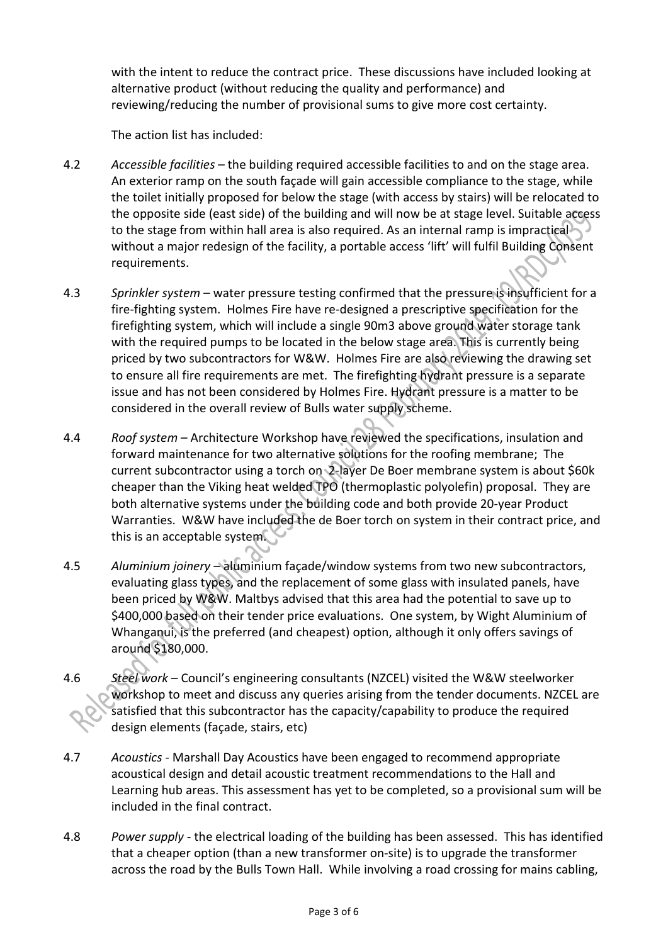with the intent to reduce the contract price. These discussions have included looking at alternative product (without reducing the quality and performance) and reviewing/reducing the number of provisional sums to give more cost certainty.

The action list has included:

- 4.2 *Accessible facilities* the building required accessible facilities to and on the stage area. An exterior ramp on the south façade will gain accessible compliance to the stage, while the toilet initially proposed for below the stage (with access by stairs) will be relocated to the opposite side (east side) of the building and will now be at stage level. Suitable access to the stage from within hall area is also required. As an internal ramp is impractical without a major redesign of the facility, a portable access 'lift' will fulfil Building Consent requirements.
- 4.3 *Sprinkler system* water pressure testing confirmed that the pressure is insufficient for a fire-fighting system. Holmes Fire have re-designed a prescriptive specification for the firefighting system, which will include a single 90m3 above ground water storage tank with the required pumps to be located in the below stage area. This is currently being priced by two subcontractors for W&W. Holmes Fire are also reviewing the drawing set to ensure all fire requirements are met. The firefighting hydrant pressure is a separate issue and has not been considered by Holmes Fire. Hydrant pressure is a matter to be considered in the overall review of Bulls water supply scheme.
- 4.4 *Roof system* Architecture Workshop have reviewed the specifications, insulation and forward maintenance for two alternative solutions for the roofing membrane; The current subcontractor using a torch on 2-layer De Boer membrane system is about \$60k cheaper than the Viking heat welded TPO (thermoplastic polyolefin) proposal. They are both alternative systems under the building code and both provide 20-year Product Warranties. W&W have included the de Boer torch on system in their contract price, and this is an acceptable system.
- 4.5 *Aluminium joinery* aluminium façade/window systems from two new subcontractors, evaluating glass types, and the replacement of some glass with insulated panels, have been priced by W&W. Maltbys advised that this area had the potential to save up to \$400,000 based on their tender price evaluations. One system, by Wight Aluminium of Whanganui, is the preferred (and cheapest) option, although it only offers savings of around \$180,000.
- 4.6 *Steel work* Council's engineering consultants (NZCEL) visited the W&W steelworker workshop to meet and discuss any queries arising from the tender documents. NZCEL are satisfied that this subcontractor has the capacity/capability to produce the required design elements (façade, stairs, etc)
- 4.7 *Acoustics -* Marshall Day Acoustics have been engaged to recommend appropriate acoustical design and detail acoustic treatment recommendations to the Hall and Learning hub areas. This assessment has yet to be completed, so a provisional sum will be included in the final contract.
- 4.8 *Power supply -* the electrical loading of the building has been assessed. This has identified that a cheaper option (than a new transformer on-site) is to upgrade the transformer across the road by the Bulls Town Hall. While involving a road crossing for mains cabling,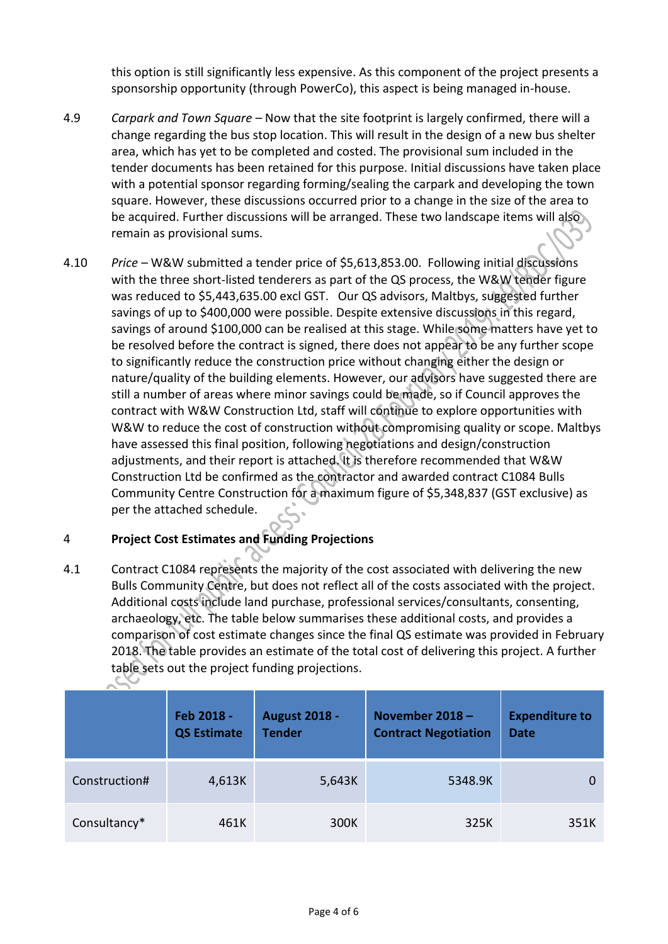this option is still significantly less expensive. As this component of the project presents a sponsorship opportunity (through PowerCo), this aspect is being managed in-house.

- 4.9 *Carpark and Town Square –* Now that the site footprint is largely confirmed, there will a change regarding the bus stop location. This will result in the design of a new bus shelter area, which has yet to be completed and costed. The provisional sum included in the tender documents has been retained for this purpose. Initial discussions have taken place with a potential sponsor regarding forming/sealing the carpark and developing the town square. However, these discussions occurred prior to a change in the size of the area to be acquired. Further discussions will be arranged. These two landscape items will also remain as provisional sums.
- 4.10 *Price –* W&W submitted a tender price of \$5,613,853.00. Following initial discussions with the three short-listed tenderers as part of the QS process, the W&W tender figure was reduced to \$5,443,635.00 excl GST. Our QS advisors, Maltbys, suggested further savings of up to \$400,000 were possible. Despite extensive discussions in this regard, savings of around \$100,000 can be realised at this stage. While some matters have yet to be resolved before the contract is signed, there does not appear to be any further scope to significantly reduce the construction price without changing either the design or nature/quality of the building elements. However, our advisors have suggested there are still a number of areas where minor savings could be made, so if Council approves the contract with W&W Construction Ltd, staff will continue to explore opportunities with W&W to reduce the cost of construction without compromising quality or scope. Maltbys have assessed this final position, following negotiations and design/construction adjustments, and their report is attached. It is therefore recommended that W&W Construction Ltd be confirmed as the contractor and awarded contract C1084 Bulls Community Centre Construction for a maximum figure of \$5,348,837 (GST exclusive) as per the attached schedule.

## 4 **Project Cost Estimates and Funding Projections**

 $\sim$ 

4.1 Contract C1084 represents the majority of the cost associated with delivering the new Bulls Community Centre, but does not reflect all of the costs associated with the project. Additional costs include land purchase, professional services/consultants, consenting, archaeology, etc. The table below summarises these additional costs, and provides a comparison of cost estimate changes since the final QS estimate was provided in February 2018. The table provides an estimate of the total cost of delivering this project. A further table sets out the project funding projections.

|               | Feb 2018 -<br><b>QS Estimate</b> | <b>August 2018 -</b><br><b>Tender</b> | November 2018-<br><b>Contract Negotiation</b> | <b>Expenditure to</b><br><b>Date</b> |
|---------------|----------------------------------|---------------------------------------|-----------------------------------------------|--------------------------------------|
| Construction# | 4,613K                           | 5,643K                                | 5348.9K                                       |                                      |
| Consultancy*  | 461K                             | 300K                                  | 325K                                          | 351K                                 |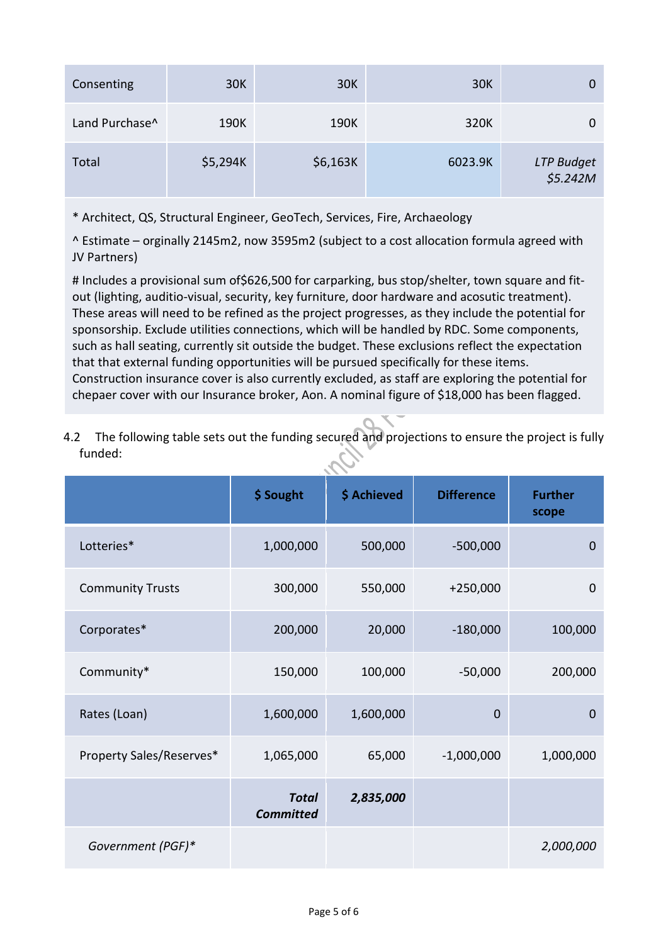| Consenting     | 30K      | <b>30K</b> | <b>30K</b> | 0                      |
|----------------|----------|------------|------------|------------------------|
| Land Purchase^ | 190K     | 190K       | 320K       | 0                      |
| Total          | \$5,294K | \$6,163K   | 6023.9K    | LTP Budget<br>\$5.242M |

\* Architect, QS, Structural Engineer, GeoTech, Services, Fire, Archaeology

^ Estimate – orginally 2145m2, now 3595m2 (subject to a cost allocation formula agreed with JV Partners)

# Includes a provisional sum of \$626,500 for carparking, bus stop/shelter, town square and fitout (lighting, auditio-visual, security, key furniture, door hardware and acosutic treatment). These areas will need to be refined as the project progresses, as they include the potential for sponsorship. Exclude utilities connections, which will be handled by RDC. Some components, such as hall seating, currently sit outside the budget. These exclusions reflect the expectation that that external funding opportunities will be pursued specifically for these items. Construction insurance cover is also currently excluded, as staff are exploring the potential for chepaer cover with our Insurance broker, Aon. A nominal figure of \$18,000 has been flagged.

4.2 The following table sets out the funding secured and projections to ensure the project is fully funded:

|                          | \$ Sought                        | \$ Achieved | <b>Difference</b> | <b>Further</b><br>scope |  |
|--------------------------|----------------------------------|-------------|-------------------|-------------------------|--|
| Lotteries*               | 1,000,000                        | 500,000     | $-500,000$        | $\mathbf 0$             |  |
| <b>Community Trusts</b>  | 300,000                          | 550,000     | $+250,000$        | $\mathbf 0$             |  |
| Corporates*              | 200,000                          | 20,000      | $-180,000$        | 100,000                 |  |
| Community*               | 150,000                          | 100,000     | $-50,000$         | 200,000                 |  |
| Rates (Loan)             | 1,600,000                        | 1,600,000   | $\mathbf 0$       | $\mathbf 0$             |  |
| Property Sales/Reserves* | 1,065,000                        | 65,000      | $-1,000,000$      | 1,000,000               |  |
|                          | <b>Total</b><br><b>Committed</b> | 2,835,000   |                   |                         |  |
| Government (PGF)*        |                                  |             |                   | 2,000,000               |  |